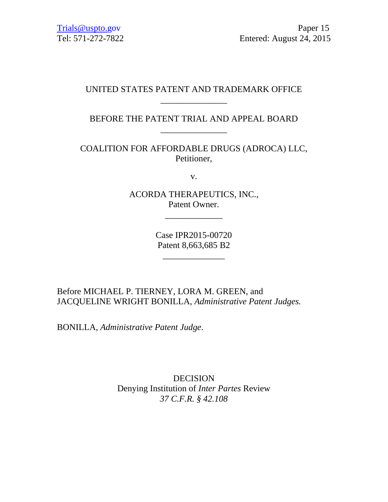# UNITED STATES PATENT AND TRADEMARK OFFICE \_\_\_\_\_\_\_\_\_\_\_\_\_\_\_

# BEFORE THE PATENT TRIAL AND APPEAL BOARD \_\_\_\_\_\_\_\_\_\_\_\_\_\_\_

COALITION FOR AFFORDABLE DRUGS (ADROCA) LLC, Petitioner,

v.

ACORDA THERAPEUTICS, INC., Patent Owner.

\_\_\_\_\_\_\_\_\_\_\_\_\_

Case IPR2015-00720 Patent 8,663,685 B2

\_\_\_\_\_\_\_\_\_\_\_\_\_\_

Before MICHAEL P. TIERNEY, LORA M. GREEN, and JACQUELINE WRIGHT BONILLA, *Administrative Patent Judges.* 

BONILLA, *Administrative Patent Judge*.

DECISION Denying Institution of *Inter Partes* Review *37 C.F.R. § 42.108*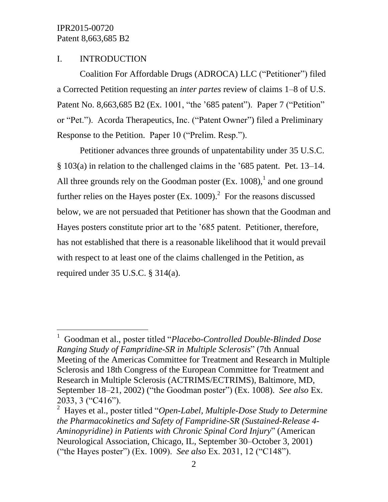$\overline{a}$ 

### I. INTRODUCTION

Coalition For Affordable Drugs (ADROCA) LLC ("Petitioner") filed a Corrected Petition requesting an *inter partes* review of claims 1–8 of U.S. Patent No. 8,663,685 B2 (Ex. 1001, "the '685 patent"). Paper 7 ("Petition" or "Pet."). Acorda Therapeutics, Inc. ("Patent Owner") filed a Preliminary Response to the Petition. Paper 10 ("Prelim. Resp.").

Petitioner advances three grounds of unpatentability under 35 U.S.C. § 103(a) in relation to the challenged claims in the '685 patent. Pet. 13–14. All three grounds rely on the Goodman poster  $(Ex. 1008)$ , and one ground further relies on the Hayes poster (Ex. 1009).<sup>2</sup> For the reasons discussed below, we are not persuaded that Petitioner has shown that the Goodman and Hayes posters constitute prior art to the '685 patent. Petitioner, therefore, has not established that there is a reasonable likelihood that it would prevail with respect to at least one of the claims challenged in the Petition, as required under 35 U.S.C. § 314(a).

<sup>1</sup> Goodman et al., poster titled "*Placebo-Controlled Double-Blinded Dose Ranging Study of Fampridine-SR in Multiple Sclerosis*" (7th Annual Meeting of the Americas Committee for Treatment and Research in Multiple Sclerosis and 18th Congress of the European Committee for Treatment and Research in Multiple Sclerosis (ACTRIMS/ECTRIMS), Baltimore, MD, September 18–21, 2002) ("the Goodman poster") (Ex. 1008). *See also* Ex. 2033, 3 ("C416").

<sup>2</sup> Hayes et al., poster titled "*Open-Label, Multiple-Dose Study to Determine the Pharmacokinetics and Safety of Fampridine-SR (Sustained-Release 4- Aminopyridine) in Patients with Chronic Spinal Cord Injury*" (American Neurological Association, Chicago, IL, September 30–October 3, 2001) ("the Hayes poster") (Ex. 1009). *See also* Ex. 2031, 12 ("C148").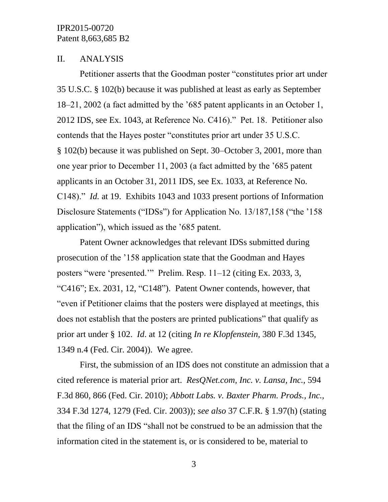#### II. ANALYSIS

Petitioner asserts that the Goodman poster "constitutes prior art under 35 U.S.C. § 102(b) because it was published at least as early as September 18–21, 2002 (a fact admitted by the '685 patent applicants in an October 1, 2012 IDS, see Ex. 1043, at Reference No. C416)." Pet. 18. Petitioner also contends that the Hayes poster "constitutes prior art under 35 U.S.C. § 102(b) because it was published on Sept. 30–October 3, 2001, more than one year prior to December 11, 2003 (a fact admitted by the '685 patent applicants in an October 31, 2011 IDS, see Ex. 1033, at Reference No. C148)." *Id.* at 19. Exhibits 1043 and 1033 present portions of Information Disclosure Statements ("IDSs") for Application No. 13/187,158 ("the '158 application"), which issued as the '685 patent.

Patent Owner acknowledges that relevant IDSs submitted during prosecution of the '158 application state that the Goodman and Hayes posters "were 'presented.'" Prelim. Resp. 11–12 (citing Ex. 2033, 3, "C416"; Ex. 2031, 12, "C148"). Patent Owner contends, however, that "even if Petitioner claims that the posters were displayed at meetings, this does not establish that the posters are printed publications" that qualify as prior art under § 102. *Id*. at 12 (citing *In re Klopfenstein*, 380 F.3d 1345, 1349 n.4 (Fed. Cir. 2004)). We agree.

First, the submission of an IDS does not constitute an admission that a cited reference is material prior art. *ResQNet.com, Inc. v. Lansa, Inc.*, 594 F.3d 860, 866 (Fed. Cir. 2010); *Abbott Labs. v. Baxter Pharm. Prods., Inc.*, 334 F.3d 1274, 1279 (Fed. Cir. 2003)); *see also* 37 C.F.R. § 1.97(h) (stating that the filing of an IDS "shall not be construed to be an admission that the information cited in the statement is, or is considered to be, material to

3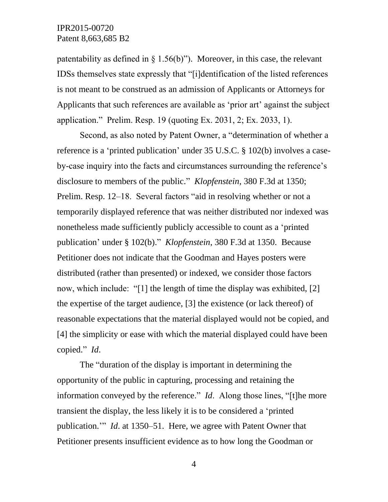patentability as defined in  $\S$  1.56(b)"). Moreover, in this case, the relevant IDSs themselves state expressly that "[i]dentification of the listed references is not meant to be construed as an admission of Applicants or Attorneys for Applicants that such references are available as 'prior art' against the subject application." Prelim. Resp. 19 (quoting Ex. 2031, 2; Ex. 2033, 1).

Second, as also noted by Patent Owner, a "determination of whether a reference is a 'printed publication' under 35 U.S.C. § 102(b) involves a caseby-case inquiry into the facts and circumstances surrounding the reference's disclosure to members of the public." *Klopfenstein*, 380 F.3d at 1350; Prelim. Resp. 12–18. Several factors "aid in resolving whether or not a temporarily displayed reference that was neither distributed nor indexed was nonetheless made sufficiently publicly accessible to count as a 'printed publication' under § 102(b)." *Klopfenstein*, 380 F.3d at 1350. Because Petitioner does not indicate that the Goodman and Hayes posters were distributed (rather than presented) or indexed, we consider those factors now, which include: "[1] the length of time the display was exhibited, [2] the expertise of the target audience, [3] the existence (or lack thereof) of reasonable expectations that the material displayed would not be copied, and [4] the simplicity or ease with which the material displayed could have been copied." *Id*.

The "duration of the display is important in determining the opportunity of the public in capturing, processing and retaining the information conveyed by the reference." *Id*. Along those lines, "[t]he more transient the display, the less likely it is to be considered a 'printed publication.'" *Id*. at 1350–51. Here, we agree with Patent Owner that Petitioner presents insufficient evidence as to how long the Goodman or

4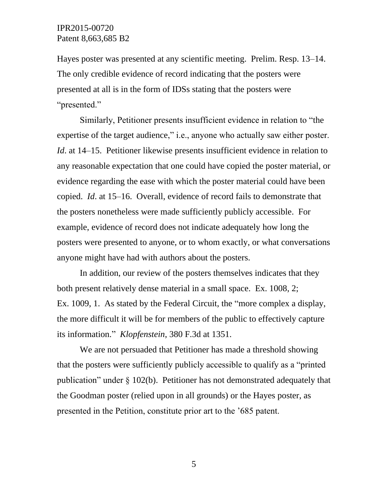Hayes poster was presented at any scientific meeting. Prelim. Resp. 13–14. The only credible evidence of record indicating that the posters were presented at all is in the form of IDSs stating that the posters were "presented."

Similarly, Petitioner presents insufficient evidence in relation to "the expertise of the target audience," i.e., anyone who actually saw either poster. *Id.* at 14–15. Petitioner likewise presents insufficient evidence in relation to any reasonable expectation that one could have copied the poster material, or evidence regarding the ease with which the poster material could have been copied. *Id*. at 15–16. Overall, evidence of record fails to demonstrate that the posters nonetheless were made sufficiently publicly accessible. For example, evidence of record does not indicate adequately how long the posters were presented to anyone, or to whom exactly, or what conversations anyone might have had with authors about the posters.

In addition, our review of the posters themselves indicates that they both present relatively dense material in a small space. Ex. 1008, 2; Ex. 1009, 1. As stated by the Federal Circuit, the "more complex a display, the more difficult it will be for members of the public to effectively capture its information." *Klopfenstein*, 380 F.3d at 1351.

We are not persuaded that Petitioner has made a threshold showing that the posters were sufficiently publicly accessible to qualify as a "printed publication" under § 102(b). Petitioner has not demonstrated adequately that the Goodman poster (relied upon in all grounds) or the Hayes poster, as presented in the Petition, constitute prior art to the '685 patent.

5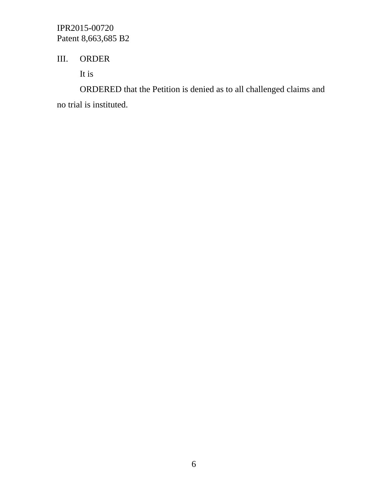# III. ORDER

It is

ORDERED that the Petition is denied as to all challenged claims and no trial is instituted.